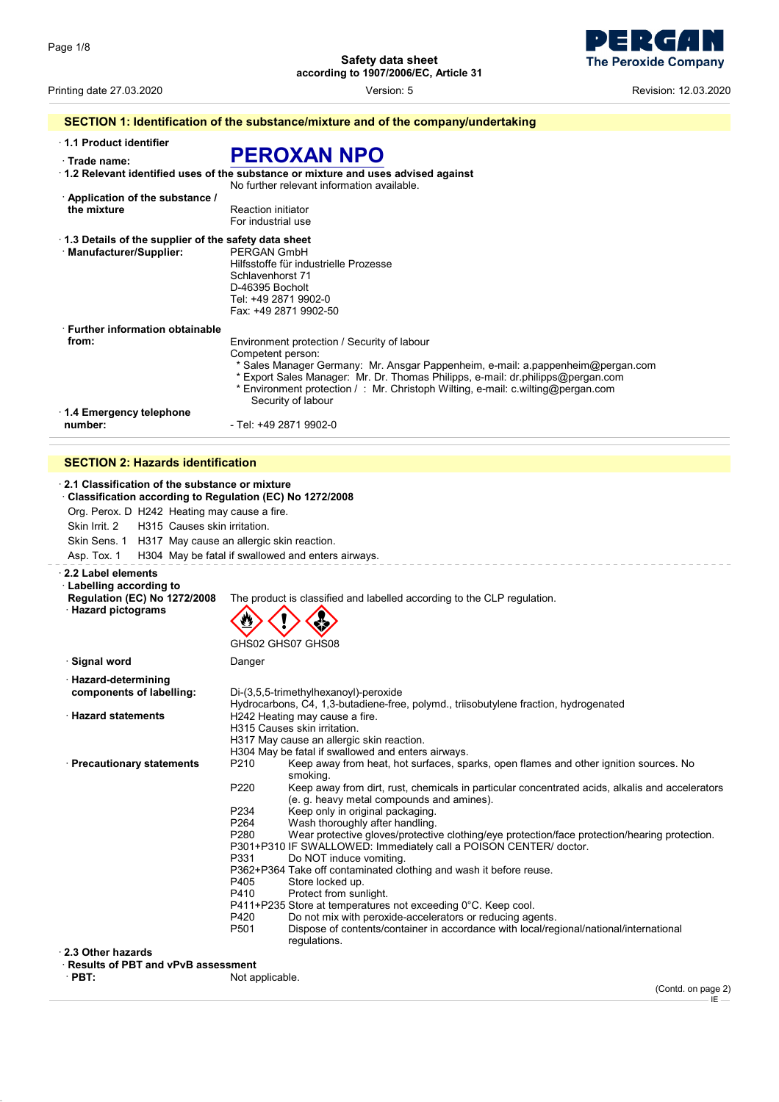**Safety data sheet**

**according to 1907/2006/EC, Article 31**

| a series de la propie | <b>40 p</b>                 |
|-----------------------|-----------------------------|
|                       | <b>The Peroxide Company</b> |

Printing date 27.03.2020 Version: 5 Revision: 12.03.2020

|                                                      | SECTION 1: Identification of the substance/mixture and of the company/undertaking                                                       |
|------------------------------------------------------|-----------------------------------------------------------------------------------------------------------------------------------------|
| 1.1 Product identifier                               |                                                                                                                                         |
| Trade name:                                          | <b>PEROXAN NPO</b>                                                                                                                      |
|                                                      | $\cdot$ 1.2 Relevant identified uses of the substance or mixture and uses advised against<br>No further relevant information available. |
| Application of the substance /                       |                                                                                                                                         |
| the mixture                                          | <b>Reaction initiator</b><br>For industrial use                                                                                         |
| 1.3 Details of the supplier of the safety data sheet |                                                                                                                                         |
| · Manufacturer/Supplier:                             | PERGAN GmbH                                                                                                                             |
|                                                      | Hilfsstoffe für industrielle Prozesse                                                                                                   |
|                                                      | Schlavenhorst 71                                                                                                                        |
|                                                      | D-46395 Bocholt                                                                                                                         |
|                                                      | Tel: +49 2871 9902-0                                                                                                                    |
|                                                      | Fax: +49 2871 9902-50                                                                                                                   |
| <b>Eurther information obtainable</b>                |                                                                                                                                         |
| from:                                                | Environment protection / Security of labour                                                                                             |
|                                                      | Competent person:                                                                                                                       |
|                                                      | * Sales Manager Germany: Mr. Ansgar Pappenheim, e-mail: a pappenheim@pergan.com                                                         |
|                                                      | * Export Sales Manager: Mr. Dr. Thomas Philipps, e-mail: dr.philipps@pergan.com                                                         |
|                                                      | * Environment protection /: Mr. Christoph Wilting, e-mail: c.wilting@pergan.com<br>Security of labour                                   |
| 1.4 Emergency telephone                              |                                                                                                                                         |
| number:                                              | - Tel: +49 2871 9902-0                                                                                                                  |
|                                                      |                                                                                                                                         |
| <b>SECTION 2: Hazards identification</b>             |                                                                                                                                         |
| 2.4 Classification of the substance or mixture       |                                                                                                                                         |

| 2.1 Classification of the substance or mixture<br>Classification according to Regulation (EC) No 1272/2008             |                                                                                                                                                                                                                                                                                                                                                                                                                                                                                                                                                                                                                                                                                                                                                                                                                                                                                                                                                                                               |
|------------------------------------------------------------------------------------------------------------------------|-----------------------------------------------------------------------------------------------------------------------------------------------------------------------------------------------------------------------------------------------------------------------------------------------------------------------------------------------------------------------------------------------------------------------------------------------------------------------------------------------------------------------------------------------------------------------------------------------------------------------------------------------------------------------------------------------------------------------------------------------------------------------------------------------------------------------------------------------------------------------------------------------------------------------------------------------------------------------------------------------|
| Org. Perox. D H242 Heating may cause a fire.                                                                           |                                                                                                                                                                                                                                                                                                                                                                                                                                                                                                                                                                                                                                                                                                                                                                                                                                                                                                                                                                                               |
| H315 Causes skin irritation.<br>Skin Irrit. 2                                                                          |                                                                                                                                                                                                                                                                                                                                                                                                                                                                                                                                                                                                                                                                                                                                                                                                                                                                                                                                                                                               |
| Skin Sens. 1 H317 May cause an allergic skin reaction.                                                                 |                                                                                                                                                                                                                                                                                                                                                                                                                                                                                                                                                                                                                                                                                                                                                                                                                                                                                                                                                                                               |
| Asp. Tox. 1                                                                                                            | H304 May be fatal if swallowed and enters airways.                                                                                                                                                                                                                                                                                                                                                                                                                                                                                                                                                                                                                                                                                                                                                                                                                                                                                                                                            |
| 2.2 Label elements<br><b>Labelling according to</b><br><b>Regulation (EC) No 1272/2008</b><br><b>Hazard pictograms</b> | The product is classified and labelled according to the CLP regulation.<br>ッ                                                                                                                                                                                                                                                                                                                                                                                                                                                                                                                                                                                                                                                                                                                                                                                                                                                                                                                  |
|                                                                                                                        | GHS02 GHS07 GHS08                                                                                                                                                                                                                                                                                                                                                                                                                                                                                                                                                                                                                                                                                                                                                                                                                                                                                                                                                                             |
| · Signal word                                                                                                          | Danger                                                                                                                                                                                                                                                                                                                                                                                                                                                                                                                                                                                                                                                                                                                                                                                                                                                                                                                                                                                        |
| · Hazard-determining<br>components of labelling:                                                                       | Di-(3,5,5-trimethylhexanoyl)-peroxide<br>Hydrocarbons, C4, 1,3-butadiene-free, polymd., triisobutylene fraction, hydrogenated                                                                                                                                                                                                                                                                                                                                                                                                                                                                                                                                                                                                                                                                                                                                                                                                                                                                 |
| <b>Hazard statements</b>                                                                                               | H242 Heating may cause a fire.<br>H315 Causes skin irritation.<br>H317 May cause an allergic skin reaction.<br>H304 May be fatal if swallowed and enters airways.                                                                                                                                                                                                                                                                                                                                                                                                                                                                                                                                                                                                                                                                                                                                                                                                                             |
| · Precautionary statements<br>2.3 Other hazards                                                                        | P <sub>210</sub><br>Keep away from heat, hot surfaces, sparks, open flames and other ignition sources. No<br>smoking.<br>P220<br>Keep away from dirt, rust, chemicals in particular concentrated acids, alkalis and accelerators<br>(e. g. heavy metal compounds and amines).<br>P234<br>Keep only in original packaging.<br>P264<br>Wash thoroughly after handling.<br>P <sub>280</sub><br>Wear protective gloves/protective clothing/eye protection/face protection/hearing protection.<br>P301+P310 IF SWALLOWED: Immediately call a POISON CENTER/ doctor.<br>P331<br>Do NOT induce vomiting.<br>P362+P364 Take off contaminated clothing and wash it before reuse.<br>P405<br>Store locked up.<br>P410<br>Protect from sunlight.<br>P411+P235 Store at temperatures not exceeding 0°C. Keep cool.<br>P420<br>Do not mix with peroxide-accelerators or reducing agents.<br>P501<br>Dispose of contents/container in accordance with local/regional/national/international<br>regulations. |
| <b>Results of PRT and vPvB assessment</b>                                                                              |                                                                                                                                                                                                                                                                                                                                                                                                                                                                                                                                                                                                                                                                                                                                                                                                                                                                                                                                                                                               |

· **Results of PBT and vPvB assessment** Not applicable.

(Contd. on page 2) IE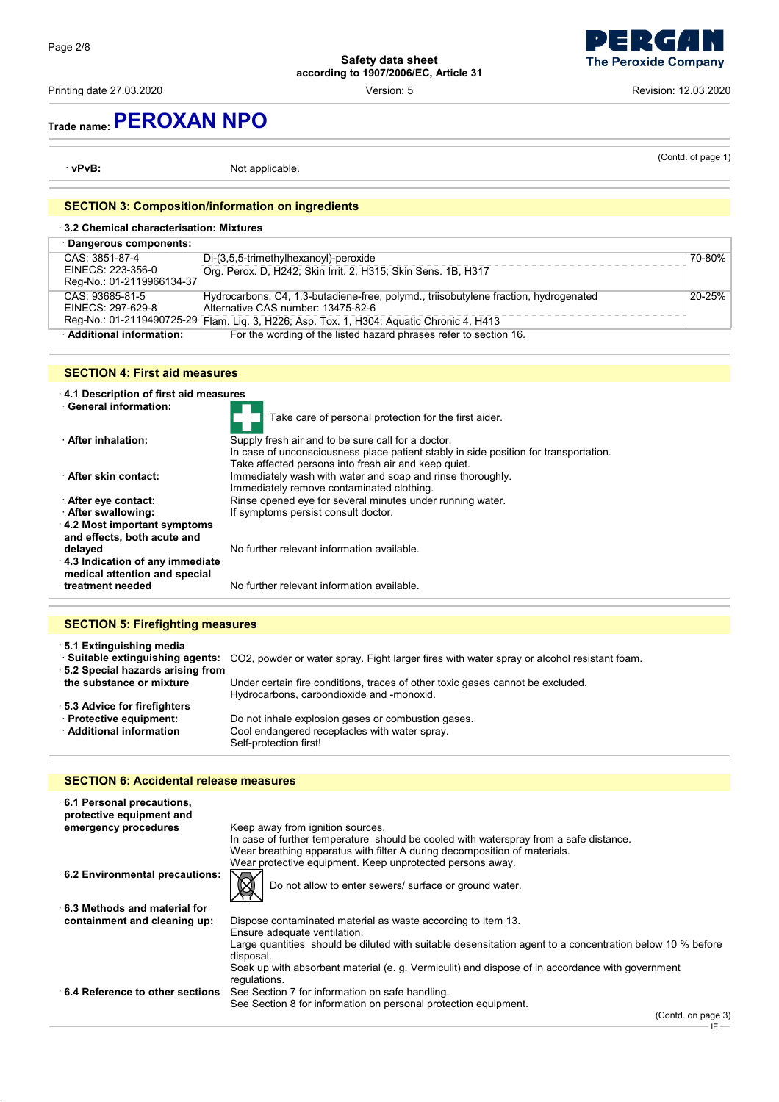Printing date 27.03.2020 **Printing date 27.03.2020 Revision: 12.03.2020 Version: 5 Revision: 12.03.2020** 

**The Peroxide Company** 

## **Trade name:PEROXAN NPO**

· **vPvB:** Not applicable.

(Contd. of page 1)

### **SECTION 3: Composition/information on ingredients**

| 3.2 Chemical characterisation: Mixtures |                                                                                          |        |
|-----------------------------------------|------------------------------------------------------------------------------------------|--------|
| · Dangerous components:                 |                                                                                          |        |
| CAS: 3851-87-4                          | Di-(3,5,5-trimethylhexanoyl)-peroxide                                                    | 70-80% |
| EINECS: 223-356-0                       | Org. Perox. D. H242; Skin Irrit. 2, H315; Skin Sens. 1B, H317                            |        |
| Reg-No.: 01-2119966134-37               |                                                                                          |        |
| CAS: 93685-81-5                         | Hydrocarbons, C4, 1,3-butadiene-free, polymd., triisobutylene fraction, hydrogenated     | 20-25% |
| EINECS: 297-629-8                       | Alternative CAS number: 13475-82-6                                                       |        |
|                                         | Reg-No.: 01-2119490725-29 Flam. Liq. 3, H226; Asp. Tox. 1, H304; Aquatic Chronic 4, H413 |        |
| Additional information:                 | For the wording of the listed hazard phrases refer to section 16.                        |        |

#### **SECTION 4: First aid measures**



| . Suitable extinguishing agents: CO2, powder or water spray. Fight larger fires with water spray or alcohol resistant foam. |
|-----------------------------------------------------------------------------------------------------------------------------|
|                                                                                                                             |
| Under certain fire conditions, traces of other toxic gases cannot be excluded.<br>Hydrocarbons, carbondioxide and -monoxid. |
|                                                                                                                             |
| Do not inhale explosion gases or combustion gases.                                                                          |
| Cool endangered receptacles with water spray.                                                                               |
| Self-protection first!                                                                                                      |
|                                                                                                                             |

#### **SECTION 6: Accidental release measures**

| 6.1 Personal precautions,<br>protective equipment and |                                                                                                                        |
|-------------------------------------------------------|------------------------------------------------------------------------------------------------------------------------|
| emergency procedures                                  | Keep away from ignition sources.                                                                                       |
|                                                       | In case of further temperature should be cooled with waterspray from a safe distance.                                  |
|                                                       | Wear breathing apparatus with filter A during decomposition of materials.                                              |
|                                                       | Wear protective equipment. Keep unprotected persons away.                                                              |
| 6.2 Environmental precautions:                        | $\bigotimes$<br>Do not allow to enter sewers/ surface or ground water.                                                 |
| 6.3 Methods and material for                          |                                                                                                                        |
| containment and cleaning up:                          | Dispose contaminated material as waste according to item 13.<br>Ensure adequate ventilation.                           |
|                                                       | Large quantities should be diluted with suitable desensitation agent to a concentration below 10 % before<br>disposal. |
|                                                       | Soak up with absorbant material (e. g. Vermiculit) and dispose of in accordance with government<br>regulations.        |
|                                                       |                                                                                                                        |

· **6.4 Reference to other sections** See Section 7 for information on safe handling. See Section 8 for information on personal protection equipment.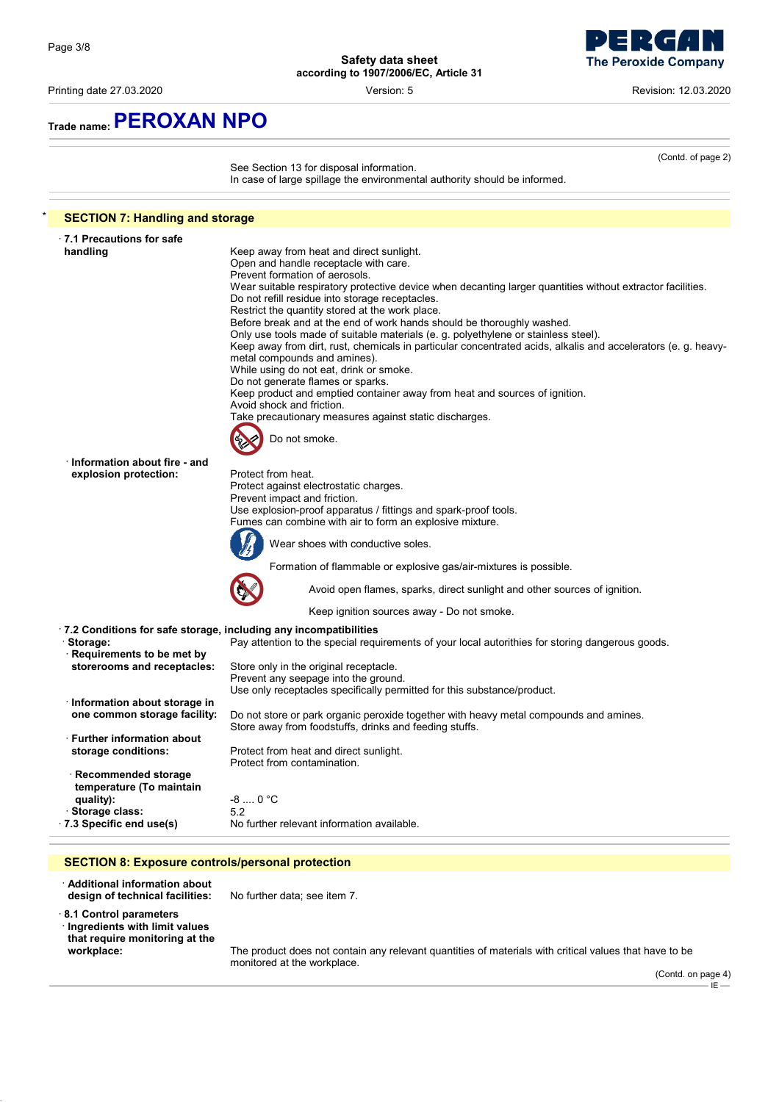$\blacksquare$ **The Peroxide Company** 

- 7

Printing date 27.03.2020 Version: 5 Revision: 12.03.2020

**Trade name:PEROXAN NPO**

|                                        | See Section 13 for disposal information.<br>In case of large spillage the environmental authority should be informed.                           |
|----------------------------------------|-------------------------------------------------------------------------------------------------------------------------------------------------|
| <b>SECTION 7: Handling and storage</b> |                                                                                                                                                 |
| ⋅7.1 Precautions for safe              |                                                                                                                                                 |
| handling                               | Keep away from heat and direct sunlight.                                                                                                        |
|                                        | Open and handle receptacle with care.                                                                                                           |
|                                        | Prevent formation of aerosols.                                                                                                                  |
|                                        | Wear suitable respiratory protective device when decanting larger quantities without extractor facilities.                                      |
|                                        | Do not refill residue into storage receptacles.                                                                                                 |
|                                        | Restrict the quantity stored at the work place.<br>Before break and at the end of work hands should be thoroughly washed.                       |
|                                        | Only use tools made of suitable materials (e. g. polyethylene or stainless steel).                                                              |
|                                        | Keep away from dirt, rust, chemicals in particular concentrated acids, alkalis and accelerators (e. g. heavy-                                   |
|                                        | metal compounds and amines).                                                                                                                    |
|                                        | While using do not eat, drink or smoke.                                                                                                         |
|                                        | Do not generate flames or sparks.                                                                                                               |
|                                        | Keep product and emptied container away from heat and sources of ignition.                                                                      |
|                                        | Avoid shock and friction.                                                                                                                       |
|                                        | Take precautionary measures against static discharges.                                                                                          |
|                                        | Do not smoke.                                                                                                                                   |
|                                        |                                                                                                                                                 |
| · Information about fire - and         |                                                                                                                                                 |
| explosion protection:                  | Protect from heat.                                                                                                                              |
|                                        | Protect against electrostatic charges.                                                                                                          |
|                                        | Prevent impact and friction.                                                                                                                    |
|                                        | Use explosion-proof apparatus / fittings and spark-proof tools.                                                                                 |
|                                        | Fumes can combine with air to form an explosive mixture.                                                                                        |
|                                        | Wear shoes with conductive soles.                                                                                                               |
|                                        | Formation of flammable or explosive gas/air-mixtures is possible.                                                                               |
|                                        | Avoid open flames, sparks, direct sunlight and other sources of ignition.                                                                       |
|                                        | Keep ignition sources away - Do not smoke.                                                                                                      |
|                                        | .7.2 Conditions for safe storage, including any incompatibilities                                                                               |
| · Storage:                             | Pay attention to the special requirements of your local autorithies for storing dangerous goods.                                                |
| · Requirements to be met by            |                                                                                                                                                 |
| storerooms and receptacles:            | Store only in the original receptacle.                                                                                                          |
|                                        | Prevent any seepage into the ground.                                                                                                            |
|                                        | Use only receptacles specifically permitted for this substance/product.                                                                         |
| · Information about storage in         |                                                                                                                                                 |
| one common storage facility:           | Do not store or park organic peroxide together with heavy metal compounds and amines.<br>Store away from foodstuffs, drinks and feeding stuffs. |
| Further information about              |                                                                                                                                                 |
| storage conditions:                    | Protect from heat and direct sunlight.<br>Protect from contamination.                                                                           |
| Recommended storage                    |                                                                                                                                                 |
| temperature (To maintain               |                                                                                                                                                 |
| quality):                              | $-8$ 0 °C                                                                                                                                       |
| · Storage class:                       | 5.2                                                                                                                                             |
| .7.3 Specific end use(s)               | No further relevant information available.                                                                                                      |

· **Additional information about**

· **8.1 Control parameters**

· **Ingredients with limit values that require monitoring at the**

**design of technical facilities:** No further data; see item 7.

**workplace:** The product does not contain any relevant quantities of materials with critical values that have to be monitored at the workplace.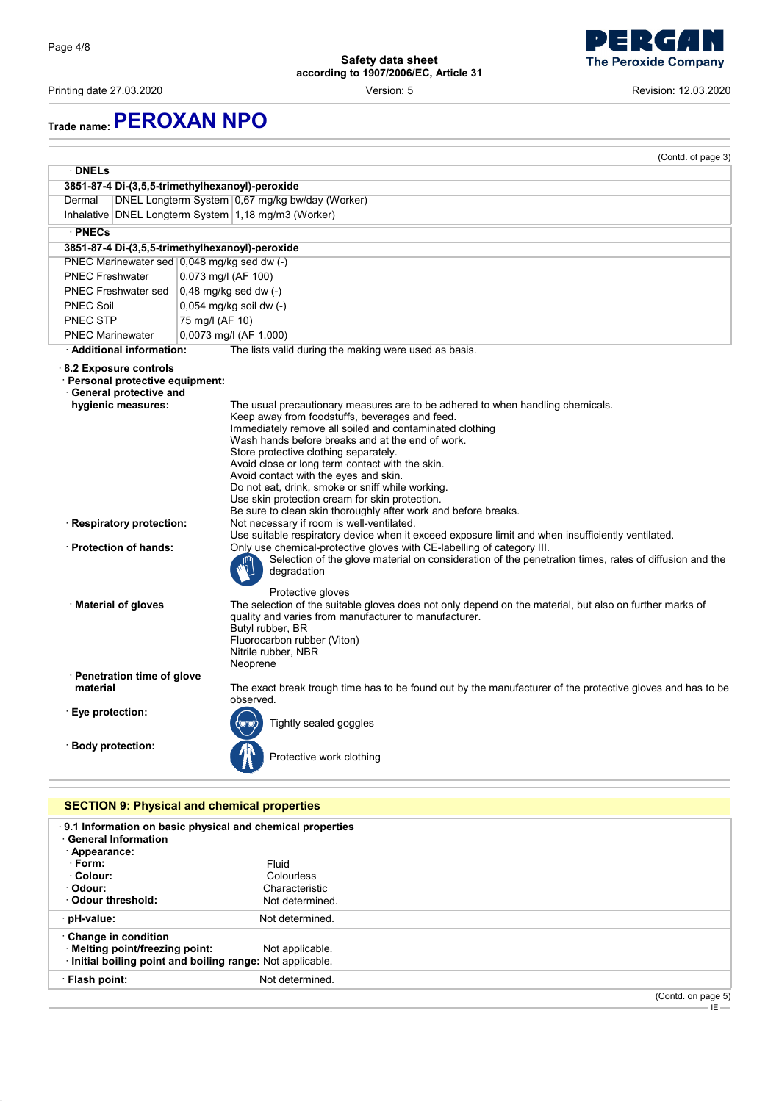Printing date 27.03.2020 Version: 5 Revision: 12.03.2020



# **Trade name:PEROXAN NPO**

|                                                                                                             | (Contd. of page 3)                                                                                                                                                                                                                                                                                                                                                                                                                                                                                                                                           |
|-------------------------------------------------------------------------------------------------------------|--------------------------------------------------------------------------------------------------------------------------------------------------------------------------------------------------------------------------------------------------------------------------------------------------------------------------------------------------------------------------------------------------------------------------------------------------------------------------------------------------------------------------------------------------------------|
| $\cdot$ DNELs                                                                                               |                                                                                                                                                                                                                                                                                                                                                                                                                                                                                                                                                              |
|                                                                                                             | 3851-87-4 Di-(3,5,5-trimethylhexanoyl)-peroxide                                                                                                                                                                                                                                                                                                                                                                                                                                                                                                              |
| Dermal                                                                                                      | DNEL Longterm System 0,67 mg/kg bw/day (Worker)                                                                                                                                                                                                                                                                                                                                                                                                                                                                                                              |
|                                                                                                             | Inhalative DNEL Longterm System 1,18 mg/m3 (Worker)                                                                                                                                                                                                                                                                                                                                                                                                                                                                                                          |
| · PNECs                                                                                                     |                                                                                                                                                                                                                                                                                                                                                                                                                                                                                                                                                              |
|                                                                                                             | 3851-87-4 Di-(3,5,5-trimethylhexanoyl)-peroxide                                                                                                                                                                                                                                                                                                                                                                                                                                                                                                              |
| PNEC Marinewater sed 0,048 mg/kg sed dw (-)                                                                 |                                                                                                                                                                                                                                                                                                                                                                                                                                                                                                                                                              |
| <b>PNEC Freshwater</b>                                                                                      | 0,073 mg/l (AF 100)                                                                                                                                                                                                                                                                                                                                                                                                                                                                                                                                          |
| PNEC Freshwater sed                                                                                         | $0,48$ mg/kg sed dw $(-)$                                                                                                                                                                                                                                                                                                                                                                                                                                                                                                                                    |
| <b>PNEC Soil</b>                                                                                            | 0,054 mg/kg soil dw (-)                                                                                                                                                                                                                                                                                                                                                                                                                                                                                                                                      |
| <b>PNEC STP</b>                                                                                             | 75 mg/l (AF 10)                                                                                                                                                                                                                                                                                                                                                                                                                                                                                                                                              |
| <b>PNEC Marinewater</b>                                                                                     | 0,0073 mg/l (AF 1.000)                                                                                                                                                                                                                                                                                                                                                                                                                                                                                                                                       |
| · Additional information:                                                                                   | The lists valid during the making were used as basis.                                                                                                                                                                                                                                                                                                                                                                                                                                                                                                        |
| 8.2 Exposure controls<br>· Personal protective equipment:<br>· General protective and<br>hygienic measures: | The usual precautionary measures are to be adhered to when handling chemicals.<br>Keep away from foodstuffs, beverages and feed.<br>Immediately remove all soiled and contaminated clothing<br>Wash hands before breaks and at the end of work.<br>Store protective clothing separately.<br>Avoid close or long term contact with the skin.<br>Avoid contact with the eyes and skin.<br>Do not eat, drink, smoke or sniff while working.<br>Use skin protection cream for skin protection.<br>Be sure to clean skin thoroughly after work and before breaks. |
| · Respiratory protection:                                                                                   | Not necessary if room is well-ventilated.<br>Use suitable respiratory device when it exceed exposure limit and when insufficiently ventilated.                                                                                                                                                                                                                                                                                                                                                                                                               |
| · Protection of hands:                                                                                      | Only use chemical-protective gloves with CE-labelling of category III.<br>Selection of the glove material on consideration of the penetration times, rates of diffusion and the<br>degradation<br>Protective gloves                                                                                                                                                                                                                                                                                                                                          |
| · Material of gloves                                                                                        | The selection of the suitable gloves does not only depend on the material, but also on further marks of<br>quality and varies from manufacturer to manufacturer.<br>Butyl rubber, BR<br>Fluorocarbon rubber (Viton)<br>Nitrile rubber, NBR<br>Neoprene                                                                                                                                                                                                                                                                                                       |
| · Penetration time of glove                                                                                 |                                                                                                                                                                                                                                                                                                                                                                                                                                                                                                                                                              |
| material                                                                                                    | The exact break trough time has to be found out by the manufacturer of the protective gloves and has to be<br>observed.                                                                                                                                                                                                                                                                                                                                                                                                                                      |
| · Eye protection:                                                                                           | Tightly sealed goggles                                                                                                                                                                                                                                                                                                                                                                                                                                                                                                                                       |
| · Body protection:                                                                                          | Protective work clothing                                                                                                                                                                                                                                                                                                                                                                                                                                                                                                                                     |
|                                                                                                             | <b>SECTION 9: Physical and chemical properties</b>                                                                                                                                                                                                                                                                                                                                                                                                                                                                                                           |
| <b>General Information</b><br>· Appearance:                                                                 | 9.1 Information on basic physical and chemical properties                                                                                                                                                                                                                                                                                                                                                                                                                                                                                                    |
| · Form:<br>· Colour:                                                                                        | Fluid                                                                                                                                                                                                                                                                                                                                                                                                                                                                                                                                                        |
| · Odour:                                                                                                    | Colourless<br>Characteristic                                                                                                                                                                                                                                                                                                                                                                                                                                                                                                                                 |
| <b>Odour threshold:</b>                                                                                     | Not determined.                                                                                                                                                                                                                                                                                                                                                                                                                                                                                                                                              |

IE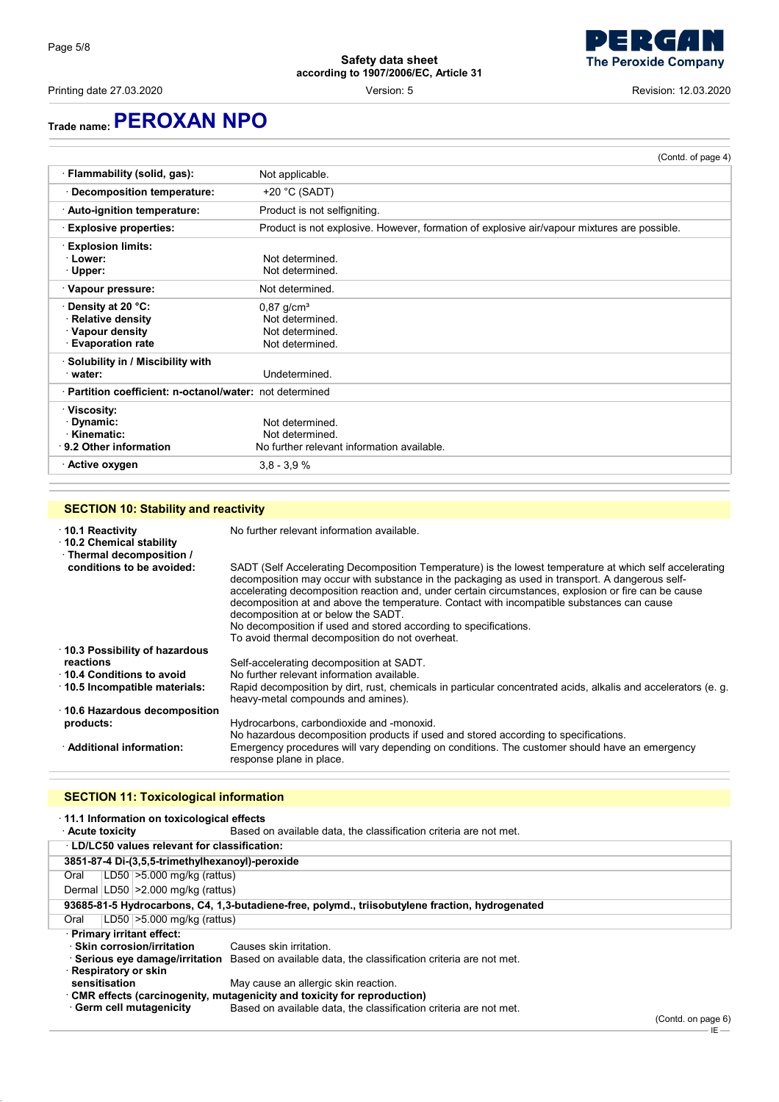Printing date 27.03.2020 **Printing date 27.03.2020 Revision: 12.03.2020 Version: 5 Revision: 12.03.2020** 

## **Trade name:PEROXAN NPO**

| · Flammability (solid, gas):<br>Not applicable.          |                                                                                             |
|----------------------------------------------------------|---------------------------------------------------------------------------------------------|
|                                                          |                                                                                             |
| $+20$ °C (SADT)<br>Decomposition temperature:            |                                                                                             |
| · Auto-ignition temperature:                             | Product is not selfigniting.                                                                |
| <b>Explosive properties:</b>                             | Product is not explosive. However, formation of explosive air/vapour mixtures are possible. |
| <b>Explosion limits:</b>                                 |                                                                                             |
| · Lower:<br>Not determined                               |                                                                                             |
| Not determined.<br>· Upper:                              |                                                                                             |
| · Vapour pressure:<br>Not determined.                    |                                                                                             |
| · Density at 20 °C:<br>$0,87$ g/cm <sup>3</sup>          |                                                                                             |
| · Relative density<br>Not determined.                    |                                                                                             |
| · Vapour density<br>Not determined.                      |                                                                                             |
| <b>Evaporation rate</b><br>Not determined.               |                                                                                             |
| · Solubility in / Miscibility with                       |                                                                                             |
| Undetermined.<br>water:                                  |                                                                                             |
| · Partition coefficient: n-octanol/water: not determined |                                                                                             |
| · Viscosity:                                             |                                                                                             |
| ∙ Dynamic:<br>Not determined                             |                                                                                             |
| · Kinematic:<br>Not determined.                          |                                                                                             |
| ⋅ 9.2 Other information                                  | No further relevant information available.                                                  |
| $3,8 - 3,9 %$<br>· Active oxygen                         |                                                                                             |

#### **SECTION 10: Stability and reactivity**

#### · **10.1 Reactivity** No further relevant information available. · **10.2 Chemical stability** · **Thermal decomposition /** SADT (Self Accelerating Decomposition Temperature) is the lowest temperature at which self accelerating decomposition may occur with substance in the packaging as used in transport. A dangerous selfaccelerating decomposition reaction and, under certain circumstances, explosion or fire can be cause decomposition at and above the temperature. Contact with incompatible substances can cause decomposition at or below the SADT. No decomposition if used and stored according to specifications. To avoid thermal decomposition do not overheat. · **10.3 Possibility of hazardous reactions** Self-accelerating decomposition at SADT.<br>**10.4 Conditions to avoid** No further relevant information available. **10.4 Conditions to avoid** No further relevant information available.<br>**10.5 Incompatible materials:** Rapid decomposition by dirt, rust, chemin Rapid decomposition by dirt, rust, chemicals in particular concentrated acids, alkalis and accelerators (e. g. heavy-metal compounds and amines). · **10.6 Hazardous decomposition products:** Hydrocarbons, carbondioxide and -monoxid. No hazardous decomposition products if used and stored according to specifications. · **Additional information:** Emergency procedures will vary depending on conditions. The customer should have an emergency response plane in place.

### **SECTION 11: Toxicological information**

| 11.1 Information on toxicological effects                                                       |                                                                                                 |  |
|-------------------------------------------------------------------------------------------------|-------------------------------------------------------------------------------------------------|--|
| <b>Acute toxicity</b>                                                                           | Based on available data, the classification criteria are not met.                               |  |
| <b>LD/LC50 values relevant for classification:</b>                                              |                                                                                                 |  |
| 3851-87-4 Di-(3,5,5-trimethylhexanoyl)-peroxide                                                 |                                                                                                 |  |
| LD50 $\geq$ 5.000 mg/kg (rattus)<br>Oral                                                        |                                                                                                 |  |
| Dermal   LD50   > 2.000 mg/kg (rattus)                                                          |                                                                                                 |  |
| 93685-81-5 Hydrocarbons, C4, 1,3-butadiene-free, polymd., triisobutylene fraction, hydrogenated |                                                                                                 |  |
| LD50 $\geq$ 5.000 mg/kg (rattus)<br>Oral                                                        |                                                                                                 |  |
| · Primary irritant effect:                                                                      |                                                                                                 |  |
| · Skin corrosion/irritation                                                                     | Causes skin irritation.                                                                         |  |
|                                                                                                 | Serious eye damage/irritation Based on available data, the classification criteria are not met. |  |
| · Respiratory or skin                                                                           |                                                                                                 |  |
| sensitisation                                                                                   | May cause an allergic skin reaction.                                                            |  |
|                                                                                                 | $\cdot$ CMR effects (carcinogenity, mutagenicity and toxicity for reproduction)                 |  |
| · Germ cell mutagenicity                                                                        | Based on available data, the classification criteria are not met.                               |  |

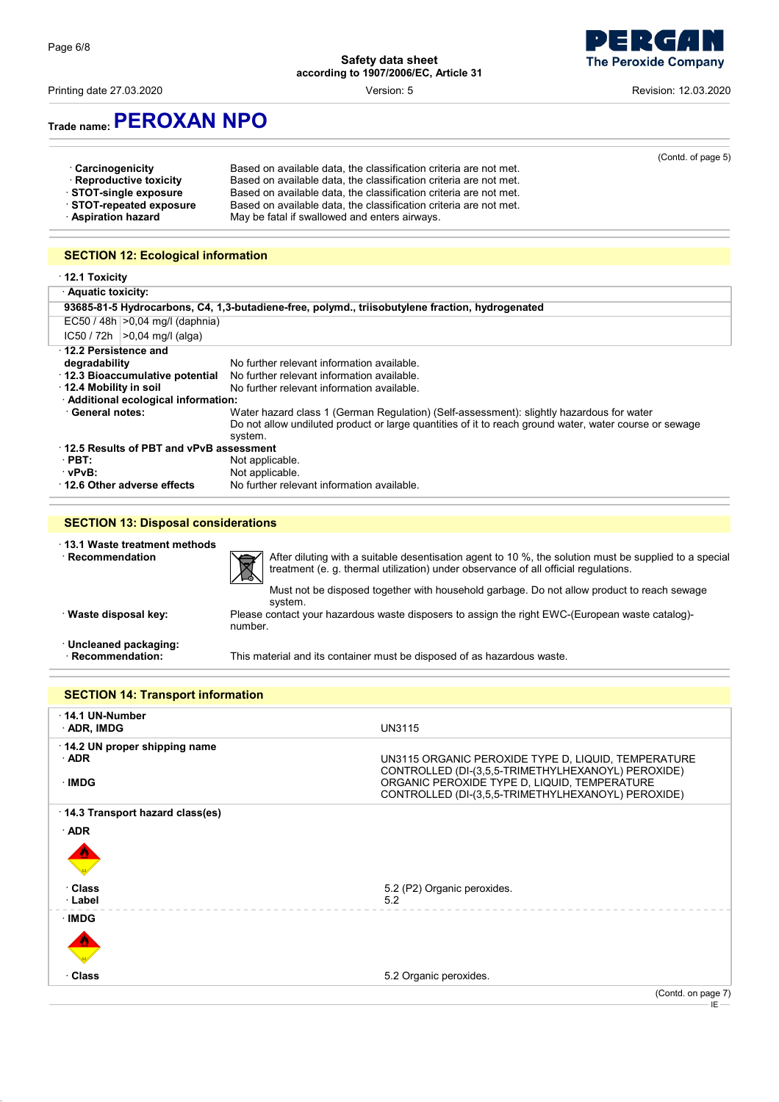Printing date 27.03.2020 **Example 27.03.2020** Version: 5 **Revision: 12.03.2020** Revision: 12.03.2020



## **Trade name:PEROXAN NPO**

| · Carcinogenicity<br>· Reproductive toxicity<br>STOT-single exposure<br>STOT-repeated exposure<br>· Aspiration hazard | Based on available data, the classification criteria are not met.<br>Based on available data, the classification criteria are not met.<br>Based on available data, the classification criteria are not met.<br>Based on available data, the classification criteria are not met.<br>May be fatal if swallowed and enters airways. | (Contd. of page 5) |
|-----------------------------------------------------------------------------------------------------------------------|-----------------------------------------------------------------------------------------------------------------------------------------------------------------------------------------------------------------------------------------------------------------------------------------------------------------------------------|--------------------|
| <b>SECTION 12: Ecological information</b>                                                                             |                                                                                                                                                                                                                                                                                                                                   |                    |
| 12.1 Toxicity                                                                                                         |                                                                                                                                                                                                                                                                                                                                   |                    |
| <b>Aquatic toxicity:</b>                                                                                              |                                                                                                                                                                                                                                                                                                                                   |                    |
|                                                                                                                       | 93685-81-5 Hydrocarbons, C4, 1,3-butadiene-free, polymd., triisobutylene fraction, hydrogenated                                                                                                                                                                                                                                   |                    |
| $EC50 / 48h   > 0.04$ mg/l (daphnia)                                                                                  |                                                                                                                                                                                                                                                                                                                                   |                    |
| $ C50 / 72h  > 0.04$ ma/l (alga)                                                                                      |                                                                                                                                                                                                                                                                                                                                   |                    |

| 12.2 Persistence and                    |                                                                                                        |  |
|-----------------------------------------|--------------------------------------------------------------------------------------------------------|--|
| degradability                           | No further relevant information available.                                                             |  |
| 12.3 Bioaccumulative potential          | No further relevant information available.                                                             |  |
| 12.4 Mobility in soil                   | No further relevant information available.                                                             |  |
| · Additional ecological information:    |                                                                                                        |  |
| <b>General notes:</b>                   | Water hazard class 1 (German Regulation) (Self-assessment): slightly hazardous for water               |  |
|                                         | Do not allow undiluted product or large quantities of it to reach ground water, water course or sewage |  |
|                                         | system.                                                                                                |  |
| 12.5 Results of PBT and vPvB assessment |                                                                                                        |  |
| $\cdot$ PBT:                            | Not applicable.                                                                                        |  |
| · vPvB:                                 | Not applicable.                                                                                        |  |
| 12.6 Other adverse effects              | No further relevant information available.                                                             |  |
|                                         |                                                                                                        |  |

#### **SECTION 13: Disposal considerations**

· **13.1 Waste treatment methods**  $\cdot$  **Recommendation** After diluting with a suitable desentisation agent to 10 %, the solution must be supplied to a special treatment (e. g. thermal utilization) under observance of all official regulations. Must not be disposed together with household garbage. Do not allow product to reach sewage system. · **Waste disposal key:** Please contact your hazardous waste disposers to assign the right EWC-(European waste catalog) number. · **Uncleaned packaging:** · **Recommendation:** This material and its container must be disposed of as hazardous waste.

**SECTION 14: Transport information** · **14.1 UN-Number** · **ADR, IMDG** UN3115 · **14.2 UN proper shipping name** · **ADR** UN3115 ORGANIC PEROXIDE TYPE D, LIQUID, TEMPERATURE CONTROLLED (DI-(3,5,5-TRIMETHYLHEXANOYL) PEROXIDE) · **IMDG** ORGANIC PEROXIDE TYPE D, LIQUID, TEMPERATURE CONTROLLED (DI-(3,5,5-TRIMETHYLHEXANOYL) PEROXIDE) · **14.3 Transport hazard class(es)** · **ADR** diction of the second contract of the second contract of the second contract of the second contract of the second contract of the second contract of the second contract of the second contract of the second contract of the **Class Class** 5.2 (P2) Organic peroxides.<br> **Label** 5.2 · **Label** 5.2 · **IMDG** diction of the second contract of the second contract of the second contract of the second contract of the second contract of the second contract of the second contract of the second contract of the second contract of the · **Class** 5.2 Organic peroxides. (Contd. on page 7)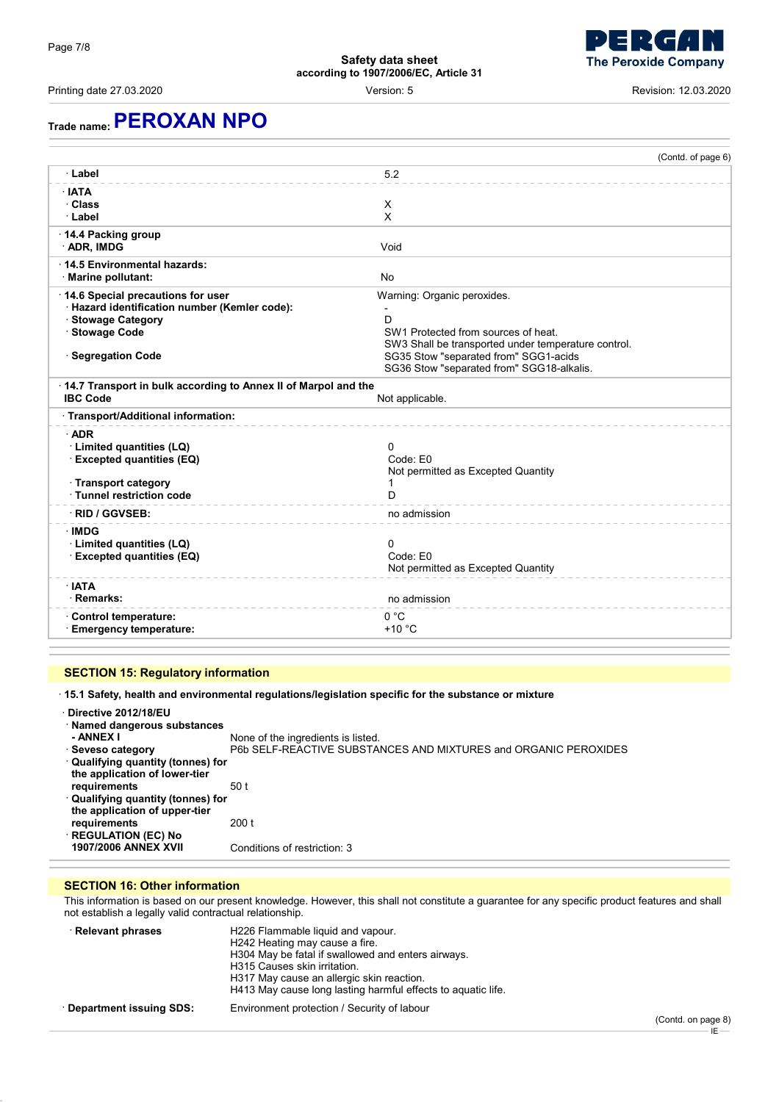Printing date 27.03.2020 Version: 5 Revision: 12.03.2020

## **Trade name:PEROXAN NPO**

|                                                                                                                                                  | (Contd. of page 6)                                                                                                                                                                                                   |
|--------------------------------------------------------------------------------------------------------------------------------------------------|----------------------------------------------------------------------------------------------------------------------------------------------------------------------------------------------------------------------|
| · Label                                                                                                                                          | 5.2                                                                                                                                                                                                                  |
| · IATA<br>· Class<br>· Label                                                                                                                     | X<br>X                                                                                                                                                                                                               |
| 14.4 Packing group<br>· ADR, IMDG                                                                                                                | Void                                                                                                                                                                                                                 |
| 14.5 Environmental hazards:<br>Marine pollutant:                                                                                                 | No                                                                                                                                                                                                                   |
| 14.6 Special precautions for user<br>· Hazard identification number (Kemler code):<br>· Stowage Category<br>· Stowage Code<br>· Segregation Code | Warning: Organic peroxides.<br>D<br>SW1 Protected from sources of heat.<br>SW3 Shall be transported under temperature control.<br>SG35 Stow "separated from" SGG1-acids<br>SG36 Stow "separated from" SGG18-alkalis. |
| 14.7 Transport in bulk according to Annex II of Marpol and the<br><b>IBC Code</b><br>Not applicable.                                             |                                                                                                                                                                                                                      |
| · Transport/Additional information:                                                                                                              |                                                                                                                                                                                                                      |
| $\cdot$ ADR<br>· Limited quantities (LQ)<br><b>Excepted quantities (EQ)</b><br>· Transport category<br>· Tunnel restriction code                 | 0<br>Code: F0<br>Not permitted as Excepted Quantity<br>D                                                                                                                                                             |
| · RID / GGVSEB:                                                                                                                                  | no admission                                                                                                                                                                                                         |
| · IMDG<br>· Limited quantities (LQ)<br><b>Excepted quantities (EQ)</b>                                                                           | 0<br>Code: E0<br>Not permitted as Excepted Quantity                                                                                                                                                                  |
| · IATA<br>· Remarks:                                                                                                                             | no admission                                                                                                                                                                                                         |
| Control temperature:<br>· Emergency temperature:                                                                                                 | 0 °C<br>$+10 °C$                                                                                                                                                                                                     |

### **SECTION 15: Regulatory information**

· **15.1 Safety, health and environmental regulations/legislation specific for the substance or mixture**

| Directive 2012/18/EU<br>· Named dangerous substances<br>- ANNEX I<br>⋅ Seveso category<br>Qualifying quantity (tonnes) for<br>the application of lower-tier<br>requirements<br>· Qualifying quantity (tonnes) for | None of the ingredients is listed.<br>P6b SELF-REACTIVE SUBSTANCES AND MIXTURES and ORGANIC PEROXIDES<br>50 t |
|-------------------------------------------------------------------------------------------------------------------------------------------------------------------------------------------------------------------|---------------------------------------------------------------------------------------------------------------|
| the application of upper-tier<br>requirements<br><b>REGULATION (EC) No</b>                                                                                                                                        | 200 t                                                                                                         |
| <b>1907/2006 ANNEX XVII</b>                                                                                                                                                                                       | Conditions of restriction: 3                                                                                  |

#### **SECTION 16: Other information**

This information is based on our present knowledge. However, this shall not constitute a guarantee for any specific product features and shall not establish a legally valid contractual relationship.

| · Relevant phrases      | H226 Flammable liquid and vapour.<br>H242 Heating may cause a fire.<br>H304 May be fatal if swallowed and enters airways.<br>H315 Causes skin irritation.<br>H317 May cause an allergic skin reaction.<br>H413 May cause long lasting harmful effects to aquatic life. |
|-------------------------|------------------------------------------------------------------------------------------------------------------------------------------------------------------------------------------------------------------------------------------------------------------------|
| Department issuing SDS: | Environment protection / Security of labour                                                                                                                                                                                                                            |